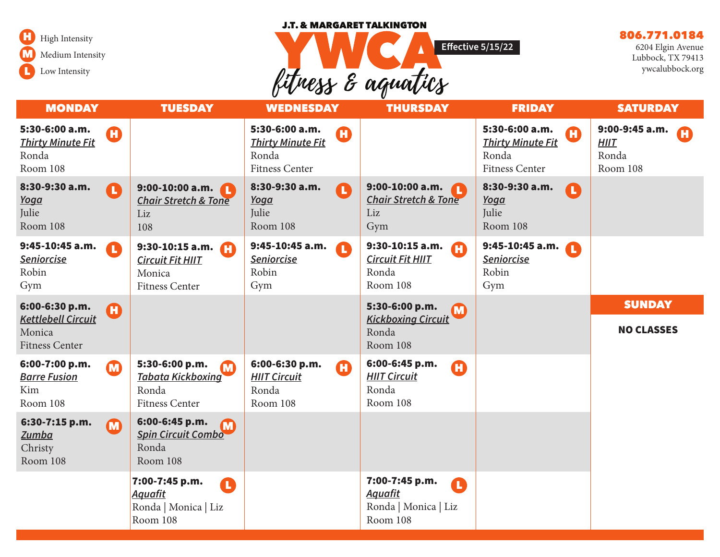#### J.T. & MARGARET TALKINGTON



# fitness & aquatics **Effective 5/15/22**

# 806.771.0184

6204 Elgin Avenue Lubbock, TX 79413 ywcalubbock.org

| <b>MONDAY</b>                                                                  |                       | <b>TUESDAY</b>                                                                                        | <b>WEDNESDAY</b>                                                                        | <b>THURSDAY</b>                                                           | <b>FRIDAY</b>                                                                     | <b>SATURDAY</b>                                    |
|--------------------------------------------------------------------------------|-----------------------|-------------------------------------------------------------------------------------------------------|-----------------------------------------------------------------------------------------|---------------------------------------------------------------------------|-----------------------------------------------------------------------------------|----------------------------------------------------|
| 5:30-6:00 a.m.<br><b>Thirty Minute Fit</b><br>Ronda<br>Room 108                | Ø                     |                                                                                                       | 5:30-6:00 a.m.<br>$\bf G$<br><b>Thirty Minute Fit</b><br>Ronda<br><b>Fitness Center</b> |                                                                           | 5:30-6:00 a.m.<br>Œ<br><b>Thirty Minute Fit</b><br>Ronda<br><b>Fitness Center</b> | 9:00-9:45 a.m.<br><b>HIIT</b><br>Ronda<br>Room 108 |
| 8:30-9:30 a.m.<br><b>Yoga</b><br>Julie<br>Room 108                             | <b>A</b>              | $9:00-10:00$ a.m.<br><b>Chair Stretch &amp; Tone</b><br>Liz<br>108                                    | 8:30-9:30 a.m.<br>T.<br><b>Yoga</b><br>Julie<br>Room 108                                | $9:00-10:00$ a.m.<br><b>Chair Stretch &amp; Tone</b><br>Liz<br>Gym        | 8:30-9:30 a.m.<br>A<br>Yoga<br>Julie<br>Room 108                                  |                                                    |
| 9:45-10:45 a.m.<br>Seniorcise<br>Robin<br>Gym                                  | $\blacksquare$        | 9:30-10:15 a.m. $\Box$<br><b>Circuit Fit HIIT</b><br>Monica<br><b>Fitness Center</b>                  | 9:45-10:45 a.m.<br>A<br><b>Seniorcise</b><br>Robin<br>Gym                               | $9:30-10:15$ a.m.<br>A<br><b>Circuit Fit HIIT</b><br>Ronda<br>Room 108    | 9:45-10:45 a.m.<br>Seniorcise<br>Robin<br>Gym                                     |                                                    |
| 6:00-6:30 p.m.<br><b>Kettlebell Circuit</b><br>Monica<br><b>Fitness Center</b> | Ø                     |                                                                                                       |                                                                                         | 5:30-6:00 p.m.<br>M<br><b>Kickboxing Circuit</b><br>Ronda<br>Room 108     |                                                                                   | <b>SUNDAY</b><br><b>NO CLASSES</b>                 |
| 6:00-7:00 p.m.<br><b>Barre Fusion</b><br>Kim<br>Room 108                       | $\boldsymbol{\Omega}$ | 5:30-6:00 p.m.<br>$\boldsymbol{\Omega}$<br><b>Tabata Kickboxing</b><br>Ronda<br><b>Fitness Center</b> | 6:00-6:30 p.m.<br>$\boldsymbol{\Omega}$<br><b>HIIT Circuit</b><br>Ronda<br>Room 108     | 6:00-6:45 p.m.<br>Œ<br><b>HIIT Circuit</b><br>Ronda<br>Room 108           |                                                                                   |                                                    |
| 6:30-7:15 p.m.<br><b>Zumba</b><br>Christy<br>Room 108                          | <b>M</b>              | 6:00-6:45 p.m.<br><b>M</b><br><b>Spin Circuit Combo</b><br>Ronda<br>Room 108                          |                                                                                         |                                                                           |                                                                                   |                                                    |
|                                                                                |                       | 7:00-7:45 p.m.<br>O<br><b>Aquafit</b><br>Ronda   Monica   Liz<br>Room 108                             |                                                                                         | 7:00-7:45 p.m.<br>Œ<br><b>Aquafit</b><br>Ronda   Monica   Liz<br>Room 108 |                                                                                   |                                                    |